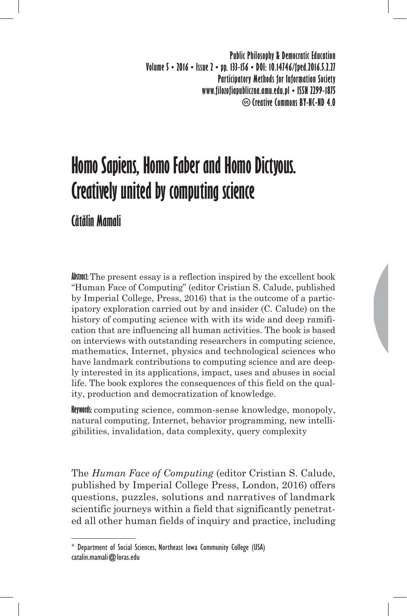**Public Philosophy & Democratic Education Volume 5 • 2016 • Issue 2 • pp. 133-156 • DOI: 10.14746/fped.2016.5.2.27 Participatory Methods for Information Society www.filozofiapubliczna.amu.edu.pl • ISSN 2299-1875 Creative Commons BY-NC-ND 4.0**

# **Homo Sapiens, Homo Faber and Homo Dictyous. Creatively united by computing science**

## **Cătălin Mamali**

**Abstract:** The present essay is a reflection inspired by the excellent book "Human Face of Computing" (editor Cristian S. Calude, published by Imperial College, Press, 2016) that is the outcome of a participatory exploration carried out by and insider (C. Calude) on the history of computing science with with its wide and deep ramification that are influencing all human activities. The book is based on interviews with outstanding researchers in computing science, mathematics, Internet, physics and technological sciences who have landmark contributions to computing science and are deeply interested in its applications, impact, uses and abuses in social life. The book explores the consequences of this field on the quality, production and democratization of knowledge.

**Keywords:** computing science, common-sense knowledge, monopoly, natural computing, Internet, behavior programming, new intelligibilities, invalidation, data complexity, query complexity

The *Human Face of Computing* (editor Cristian S. Calude, published by Imperial College Press, London, 2016) offers questions, puzzles, solutions and narratives of landmark scientific journeys within a field that significantly penetrated all other human fields of inquiry and practice, including

<sup>\*</sup> Department of Social Sciences, Northeast Iowa Community College (USA) catalin.mamali@loras.edu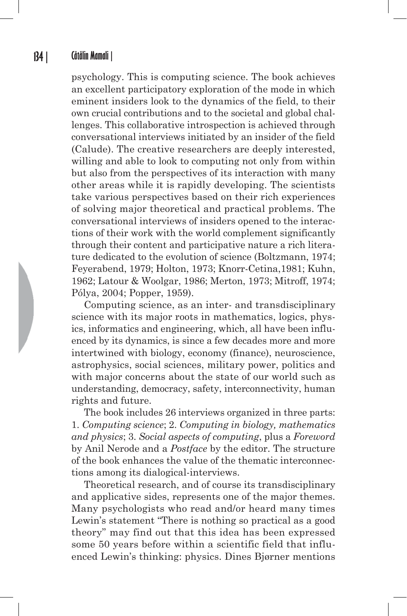psychology. This is computing science. The book achieves an excellent participatory exploration of the mode in which eminent insiders look to the dynamics of the field, to their own crucial contributions and to the societal and global challenges. This collaborative introspection is achieved through conversational interviews initiated by an insider of the field (Calude). The creative researchers are deeply interested, willing and able to look to computing not only from within but also from the perspectives of its interaction with many other areas while it is rapidly developing. The scientists take various perspectives based on their rich experiences of solving major theoretical and practical problems. The conversational interviews of insiders opened to the interactions of their work with the world complement significantly through their content and participative nature a rich literature dedicated to the evolution of science (Boltzmann, 1974; Feyerabend, 1979; Holton, 1973; Knorr-Cetina,1981; Kuhn, 1962; Latour & Woolgar, 1986; Merton, 1973; Mitroff, 1974; Pólya, 2004; Popper, 1959).

Computing science, as an inter- and transdisciplinary science with its major roots in mathematics, logics, physics, informatics and engineering, which, all have been influenced by its dynamics, is since a few decades more and more intertwined with biology, economy (finance), neuroscience, astrophysics, social sciences, military power, politics and with major concerns about the state of our world such as understanding, democracy, safety, interconnectivity, human rights and future.

The book includes 26 interviews organized in three parts: 1. *Computing science*; 2. *Computing in biology, mathematics and physics*; 3. *Social aspects of computing*, plus a *Foreword* by Anil Nerode and a *Postface* by the editor. The structure of the book enhances the value of the thematic interconnections among its dialogical-interviews.

Theoretical research, and of course its transdisciplinary and applicative sides, represents one of the major themes. Many psychologists who read and/or heard many times Lewin's statement "There is nothing so practical as a good theory" may find out that this idea has been expressed some 50 years before within a scientific field that influenced Lewin's thinking: physics. Dines Bjørner mentions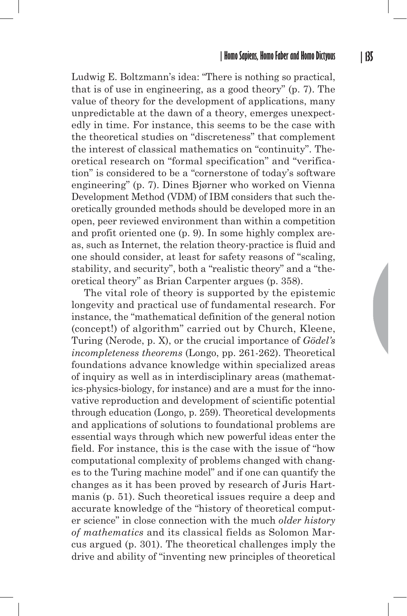Ludwig E. Boltzmann's idea: "There is nothing so practical, that is of use in engineering, as a good theory" (p. 7). The value of theory for the development of applications, many unpredictable at the dawn of a theory, emerges unexpectedly in time. For instance, this seems to be the case with the theoretical studies on "discreteness" that complement the interest of classical mathematics on "continuity". Theoretical research on "formal specification" and "verification" is considered to be a "cornerstone of today's software engineering" (p. 7). Dines Bjørner who worked on Vienna Development Method (VDM) of IBM considers that such theoretically grounded methods should be developed more in an open, peer reviewed environment than within a competition and profit oriented one (p. 9). In some highly complex areas, such as Internet, the relation theory-practice is fluid and one should consider, at least for safety reasons of "scaling, stability, and security", both a "realistic theory" and a "theoretical theory" as Brian Carpenter argues (p. 358).

The vital role of theory is supported by the epistemic longevity and practical use of fundamental research. For instance, the "mathematical definition of the general notion (concept!) of algorithm" carried out by Church, Kleene, Turing (Nerode, p. X), or the crucial importance of *Gödel's incompleteness theorems* (Longo, pp. 261-262). Theoretical foundations advance knowledge within specialized areas of inquiry as well as in interdisciplinary areas (mathematics-physics-biology, for instance) and are a must for the innovative reproduction and development of scientific potential through education (Longo, p. 259). Theoretical developments and applications of solutions to foundational problems are essential ways through which new powerful ideas enter the field. For instance, this is the case with the issue of "how computational complexity of problems changed with changes to the Turing machine model" and if one can quantify the changes as it has been proved by research of Juris Hartmanis (p. 51). Such theoretical issues require a deep and accurate knowledge of the "history of theoretical computer science" in close connection with the much *older history of mathematics* and its classical fields as Solomon Marcus argued (p. 301). The theoretical challenges imply the drive and ability of "inventing new principles of theoretical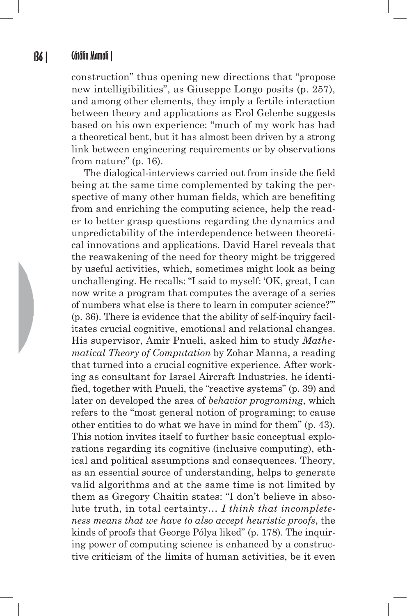construction" thus opening new directions that "propose new intelligibilities", as Giuseppe Longo posits (p. 257), and among other elements, they imply a fertile interaction between theory and applications as Erol Gelenbe suggests based on his own experience: "much of my work has had a theoretical bent, but it has almost been driven by a strong link between engineering requirements or by observations from nature" (p. 16).

The dialogical-interviews carried out from inside the field being at the same time complemented by taking the perspective of many other human fields, which are benefiting from and enriching the computing science, help the reader to better grasp questions regarding the dynamics and unpredictability of the interdependence between theoretical innovations and applications. David Harel reveals that the reawakening of the need for theory might be triggered by useful activities, which, sometimes might look as being unchallenging. He recalls: "I said to myself: 'OK, great, I can now write a program that computes the average of a series of numbers what else is there to learn in computer science?'" (p. 36). There is evidence that the ability of self-inquiry facilitates crucial cognitive, emotional and relational changes. His supervisor, Amir Pnueli, asked him to study *Mathematical Theory of Computation* by Zohar Manna, a reading that turned into a crucial cognitive experience. After working as consultant for Israel Aircraft Industries, he identified, together with Pnueli, the "reactive systems" (p. 39) and later on developed the area of *behavior programing*, which refers to the "most general notion of programing; to cause other entities to do what we have in mind for them" (p. 43). This notion invites itself to further basic conceptual explorations regarding its cognitive (inclusive computing), ethical and political assumptions and consequences. Theory, as an essential source of understanding, helps to generate valid algorithms and at the same time is not limited by them as Gregory Chaitin states: "I don't believe in absolute truth, in total certainty… *I think that incompleteness means that we have to also accept heuristic proofs*, the kinds of proofs that George Pólya liked" (p. 178). The inquiring power of computing science is enhanced by a constructive criticism of the limits of human activities, be it even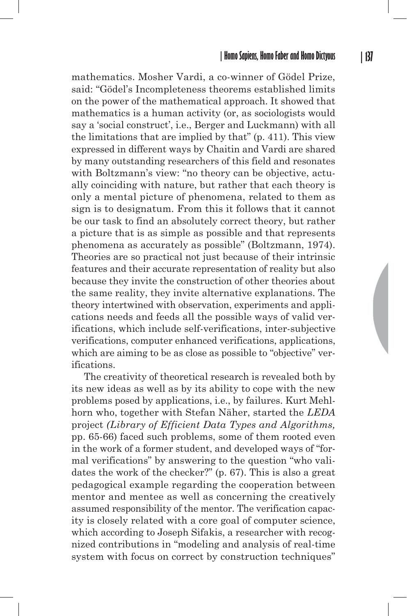mathematics. Mosher Vardi, a co-winner of Gödel Prize, said: "Gödel's Incompleteness theorems established limits on the power of the mathematical approach. It showed that mathematics is a human activity (or, as sociologists would say a 'social construct', i.e., Berger and Luckmann) with all the limitations that are implied by that" (p. 411). This view expressed in different ways by Chaitin and Vardi are shared by many outstanding researchers of this field and resonates with Boltzmann's view: "no theory can be objective, actually coinciding with nature, but rather that each theory is only a mental picture of phenomena, related to them as sign is to designatum. From this it follows that it cannot be our task to find an absolutely correct theory, but rather a picture that is as simple as possible and that represents phenomena as accurately as possible" (Boltzmann, 1974). Theories are so practical not just because of their intrinsic features and their accurate representation of reality but also because they invite the construction of other theories about the same reality, they invite alternative explanations. The theory intertwined with observation, experiments and applications needs and feeds all the possible ways of valid verifications, which include self-verifications, inter-subjective verifications, computer enhanced verifications, applications, which are aiming to be as close as possible to "objective" verifications.

The creativity of theoretical research is revealed both by its new ideas as well as by its ability to cope with the new problems posed by applications, i.e., by failures. Kurt Mehlhorn who, together with Stefan Näher, started the *LEDA* project *(Library of Efficient Data Types and Algorithms,*  pp. 65-66) faced such problems, some of them rooted even in the work of a former student, and developed ways of "formal verifications" by answering to the question "who validates the work of the checker?" (p. 67). This is also a great pedagogical example regarding the cooperation between mentor and mentee as well as concerning the creatively assumed responsibility of the mentor. The verification capacity is closely related with a core goal of computer science, which according to Joseph Sifakis, a researcher with recognized contributions in "modeling and analysis of real-time system with focus on correct by construction techniques"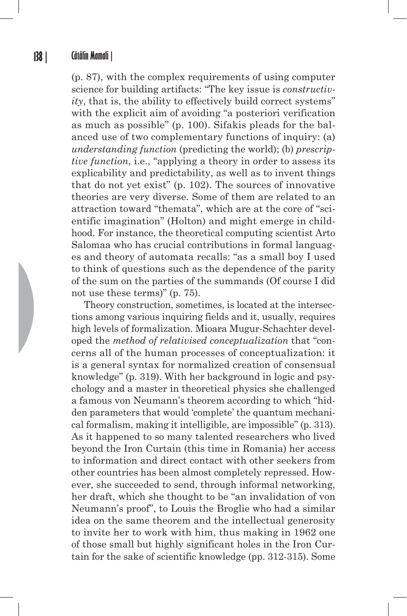(p. 87), with the complex requirements of using computer science for building artifacts: "The key issue is *constructivity*, that is, the ability to effectively build correct systems" with the explicit aim of avoiding "a posteriori verification as much as possible" (p. 100). Sifakis pleads for the balanced use of two complementary functions of inquiry: (a) *understanding function* (predicting the world); (b) *prescriptive function*, i.e., "applying a theory in order to assess its explicability and predictability, as well as to invent things that do not yet exist" (p. 102). The sources of innovative theories are very diverse. Some of them are related to an attraction toward "themata", which are at the core of "scientific imagination" (Holton) and might emerge in childhood. For instance, the theoretical computing scientist Arto Salomaa who has crucial contributions in formal languages and theory of automata recalls: "as a small boy I used to think of questions such as the dependence of the parity of the sum on the parties of the summands (Of course I did not use these terms)" (p. 75).

Theory construction, sometimes, is located at the intersections among various inquiring fields and it, usually, requires high levels of formalization. Mioara Mugur-Schachter developed the *method of relativised conceptualization* that "concerns all of the human processes of conceptualization: it is a general syntax for normalized creation of consensual knowledge" (p. 319). With her background in logic and psychology and a master in theoretical physics she challenged a famous von Neumann's theorem according to which "hidden parameters that would 'complete' the quantum mechanical formalism, making it intelligible, are impossible" (p. 313). As it happened to so many talented researchers who lived beyond the Iron Curtain (this time in Romania) her access to information and direct contact with other seekers from other countries has been almost completely repressed. However, she succeeded to send, through informal networking, her draft, which she thought to be "an invalidation of von Neumann's proof", to Louis the Broglie who had a similar idea on the same theorem and the intellectual generosity to invite her to work with him, thus making in 1962 one of those small but highly significant holes in the Iron Curtain for the sake of scientific knowledge (pp. 312-315). Some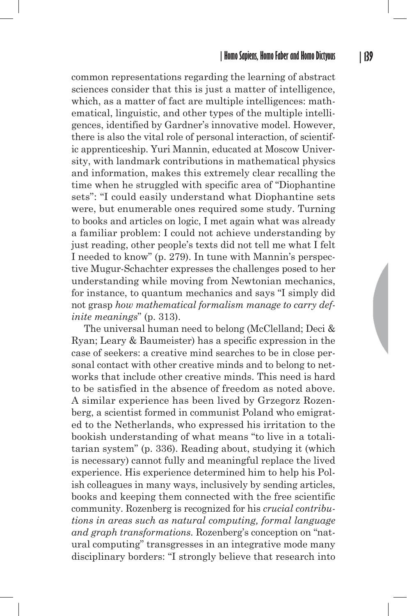common representations regarding the learning of abstract sciences consider that this is just a matter of intelligence, which, as a matter of fact are multiple intelligences: mathematical, linguistic, and other types of the multiple intelligences, identified by Gardner's innovative model. However, there is also the vital role of personal interaction, of scientific apprenticeship. Yuri Mannin, educated at Moscow University, with landmark contributions in mathematical physics and information, makes this extremely clear recalling the time when he struggled with specific area of "Diophantine sets": "I could easily understand what Diophantine sets were, but enumerable ones required some study. Turning to books and articles on logic, I met again what was already a familiar problem: I could not achieve understanding by just reading, other people's texts did not tell me what I felt I needed to know" (p. 279). In tune with Mannin's perspective Mugur-Schachter expresses the challenges posed to her understanding while moving from Newtonian mechanics, for instance, to quantum mechanics and says "I simply did not grasp *how mathematical formalism manage to carry definite meanings*" (p. 313).

The universal human need to belong (McClelland; Deci & Ryan; Leary & Baumeister) has a specific expression in the case of seekers: a creative mind searches to be in close personal contact with other creative minds and to belong to networks that include other creative minds. This need is hard to be satisfied in the absence of freedom as noted above. A similar experience has been lived by Grzegorz Rozenberg, a scientist formed in communist Poland who emigrated to the Netherlands, who expressed his irritation to the bookish understanding of what means "to live in a totalitarian system" (p. 336). Reading about, studying it (which is necessary) cannot fully and meaningful replace the lived experience. His experience determined him to help his Polish colleagues in many ways, inclusively by sending articles, books and keeping them connected with the free scientific community. Rozenberg is recognized for his *crucial contributions in areas such as natural computing, formal language and graph transformations.* Rozenberg's conception on "natural computing" transgresses in an integrative mode many disciplinary borders: "I strongly believe that research into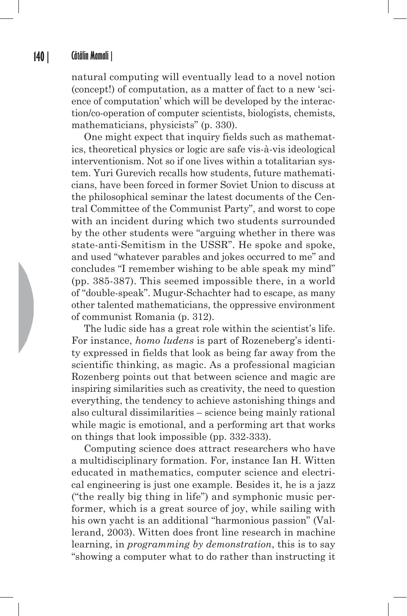natural computing will eventually lead to a novel notion (concept!) of computation, as a matter of fact to a new 'science of computation' which will be developed by the interaction/co-operation of computer scientists, biologists, chemists, mathematicians, physicists" (p. 330).

One might expect that inquiry fields such as mathematics, theoretical physics or logic are safe vis-à-vis ideological interventionism. Not so if one lives within a totalitarian system. Yuri Gurevich recalls how students, future mathematicians, have been forced in former Soviet Union to discuss at the philosophical seminar the latest documents of the Central Committee of the Communist Party", and worst to cope with an incident during which two students surrounded by the other students were "arguing whether in there was state-anti-Semitism in the USSR". He spoke and spoke, and used "whatever parables and jokes occurred to me" and concludes "I remember wishing to be able speak my mind" (pp. 385-387). This seemed impossible there, in a world of "double-speak". Mugur-Schachter had to escape, as many other talented mathematicians, the oppressive environment of communist Romania (p. 312).

The ludic side has a great role within the scientist's life. For instance, *homo ludens* is part of Rozeneberg's identity expressed in fields that look as being far away from the scientific thinking, as magic. As a professional magician Rozenberg points out that between science and magic are inspiring similarities such as creativity, the need to question everything, the tendency to achieve astonishing things and also cultural dissimilarities – science being mainly rational while magic is emotional, and a performing art that works on things that look impossible (pp. 332-333).

Computing science does attract researchers who have a multidisciplinary formation. For, instance Ian H. Witten educated in mathematics, computer science and electrical engineering is just one example. Besides it, he is a jazz ("the really big thing in life") and symphonic music performer, which is a great source of joy, while sailing with his own yacht is an additional "harmonious passion" (Vallerand, 2003). Witten does front line research in machine learning, in *programming by demonstration*, this is to say "showing a computer what to do rather than instructing it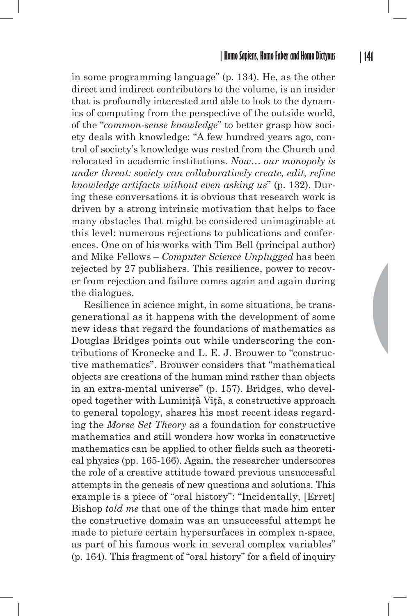in some programming language" (p. 134). He, as the other direct and indirect contributors to the volume, is an insider that is profoundly interested and able to look to the dynamics of computing from the perspective of the outside world, of the "*common-sense knowledge*" to better grasp how society deals with knowledge: "A few hundred years ago, control of society's knowledge was rested from the Church and relocated in academic institutions. *Now… our monopoly is under threat: society can collaboratively create, edit, refine knowledge artifacts without even asking us*" (p. 132). During these conversations it is obvious that research work is driven by a strong intrinsic motivation that helps to face many obstacles that might be considered unimaginable at this level: numerous rejections to publications and conferences. One on of his works with Tim Bell (principal author) and Mike Fellows – *Computer Science Unplugged* has been rejected by 27 publishers. This resilience, power to recover from rejection and failure comes again and again during the dialogues.

Resilience in science might, in some situations, be transgenerational as it happens with the development of some new ideas that regard the foundations of mathematics as Douglas Bridges points out while underscoring the contributions of Kronecke and L. E. J. Brouwer to "constructive mathematics". Brouwer considers that "mathematical objects are creations of the human mind rather than objects in an extra-mental universe" (p. 157). Bridges, who developed together with Luminită Vîtă, a constructive approach to general topology, shares his most recent ideas regarding the *Morse Set Theory* as a foundation for constructive mathematics and still wonders how works in constructive mathematics can be applied to other fields such as theoretical physics (pp. 165-166). Again, the researcher underscores the role of a creative attitude toward previous unsuccessful attempts in the genesis of new questions and solutions. This example is a piece of "oral history": "Incidentally, [Erret] Bishop *told me* that one of the things that made him enter the constructive domain was an unsuccessful attempt he made to picture certain hypersurfaces in complex n-space, as part of his famous work in several complex variables" (p. 164). This fragment of "oral history" for a field of inquiry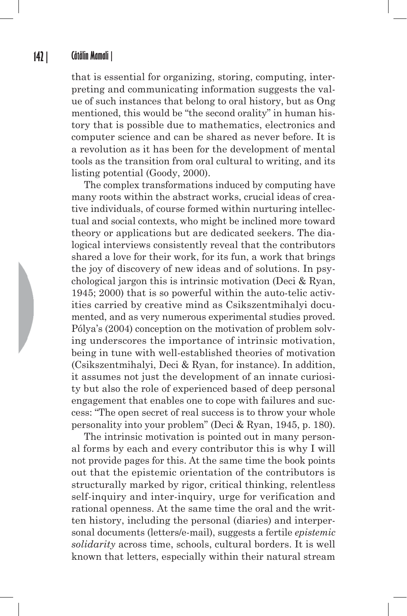that is essential for organizing, storing, computing, interpreting and communicating information suggests the value of such instances that belong to oral history, but as Ong mentioned, this would be "the second orality" in human history that is possible due to mathematics, electronics and computer science and can be shared as never before. It is a revolution as it has been for the development of mental tools as the transition from oral cultural to writing, and its listing potential (Goody, 2000).

The complex transformations induced by computing have many roots within the abstract works, crucial ideas of creative individuals, of course formed within nurturing intellectual and social contexts, who might be inclined more toward theory or applications but are dedicated seekers. The dialogical interviews consistently reveal that the contributors shared a love for their work, for its fun, a work that brings the joy of discovery of new ideas and of solutions. In psychological jargon this is intrinsic motivation (Deci & Ryan, 1945; 2000) that is so powerful within the auto-telic activities carried by creative mind as Csikszentmihalyi documented, and as very numerous experimental studies proved. Pólya's (2004) conception on the motivation of problem solving underscores the importance of intrinsic motivation, being in tune with well-established theories of motivation (Csikszentmihalyi, Deci & Ryan, for instance). In addition, it assumes not just the development of an innate curiosity but also the role of experienced based of deep personal engagement that enables one to cope with failures and success: "The open secret of real success is to throw your whole personality into your problem" (Deci & Ryan, 1945, p. 180).

The intrinsic motivation is pointed out in many personal forms by each and every contributor this is why I will not provide pages for this. At the same time the book points out that the epistemic orientation of the contributors is structurally marked by rigor, critical thinking, relentless self-inquiry and inter-inquiry, urge for verification and rational openness. At the same time the oral and the written history, including the personal (diaries) and interpersonal documents (letters/e-mail), suggests a fertile *epistemic solidarity* across time, schools, cultural borders. It is well known that letters, especially within their natural stream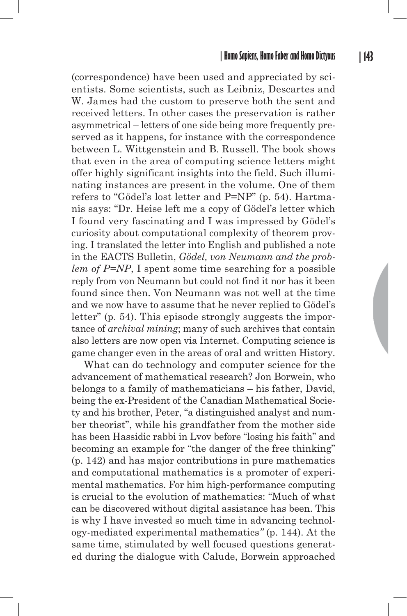(correspondence) have been used and appreciated by scientists. Some scientists, such as Leibniz, Descartes and W. James had the custom to preserve both the sent and received letters. In other cases the preservation is rather asymmetrical – letters of one side being more frequently preserved as it happens, for instance with the correspondence between L. Wittgenstein and B. Russell. The book shows that even in the area of computing science letters might offer highly significant insights into the field. Such illuminating instances are present in the volume. One of them refers to "Gödel's lost letter and P=NP" (p. 54). Hartmanis says: "Dr. Heise left me a copy of Gödel's letter which I found very fascinating and I was impressed by Gödel's curiosity about computational complexity of theorem proving. I translated the letter into English and published a note in the EACTS Bulletin, *Gödel, von Neumann and the problem of P=NP*, I spent some time searching for a possible reply from von Neumann but could not find it nor has it been found since then. Von Neumann was not well at the time and we now have to assume that he never replied to Gödel's letter" (p. 54). This episode strongly suggests the importance of *archival mining*; many of such archives that contain also letters are now open via Internet. Computing science is game changer even in the areas of oral and written History.

What can do technology and computer science for the advancement of mathematical research? Jon Borwein, who belongs to a family of mathematicians – his father, David, being the ex-President of the Canadian Mathematical Society and his brother, Peter, "a distinguished analyst and number theorist", while his grandfather from the mother side has been Hassidic rabbi in Lvov before "losing his faith" and becoming an example for "the danger of the free thinking" (p. 142) and has major contributions in pure mathematics and computational mathematics is a promoter of experimental mathematics. For him high-performance computing is crucial to the evolution of mathematics: "Much of what can be discovered without digital assistance has been. This is why I have invested so much time in advancing technology-mediated experimental mathematics*"* (p. 144). At the same time, stimulated by well focused questions generated during the dialogue with Calude, Borwein approached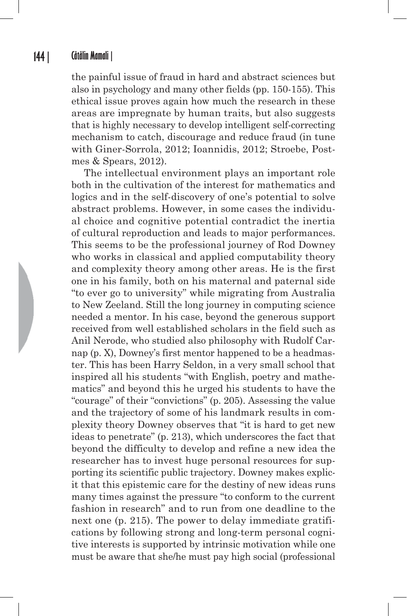the painful issue of fraud in hard and abstract sciences but also in psychology and many other fields (pp. 150-155). This ethical issue proves again how much the research in these areas are impregnate by human traits, but also suggests that is highly necessary to develop intelligent self-correcting mechanism to catch, discourage and reduce fraud (in tune with Giner-Sorrola, 2012; Ioannidis, 2012; Stroebe, Postmes & Spears, 2012).

The intellectual environment plays an important role both in the cultivation of the interest for mathematics and logics and in the self-discovery of one's potential to solve abstract problems. However, in some cases the individual choice and cognitive potential contradict the inertia of cultural reproduction and leads to major performances. This seems to be the professional journey of Rod Downey who works in classical and applied computability theory and complexity theory among other areas. He is the first one in his family, both on his maternal and paternal side "to ever go to university" while migrating from Australia to New Zeeland. Still the long journey in computing science needed a mentor. In his case, beyond the generous support received from well established scholars in the field such as Anil Nerode, who studied also philosophy with Rudolf Carnap (p. X), Downey's first mentor happened to be a headmaster. This has been Harry Seldon, in a very small school that inspired all his students "with English, poetry and mathematics" and beyond this he urged his students to have the "courage" of their "convictions" (p. 205). Assessing the value and the trajectory of some of his landmark results in complexity theory Downey observes that "it is hard to get new ideas to penetrate" (p. 213), which underscores the fact that beyond the difficulty to develop and refine a new idea the researcher has to invest huge personal resources for supporting its scientific public trajectory. Downey makes explicit that this epistemic care for the destiny of new ideas runs many times against the pressure "to conform to the current fashion in research" and to run from one deadline to the next one (p. 215). The power to delay immediate gratifications by following strong and long-term personal cognitive interests is supported by intrinsic motivation while one must be aware that she/he must pay high social (professional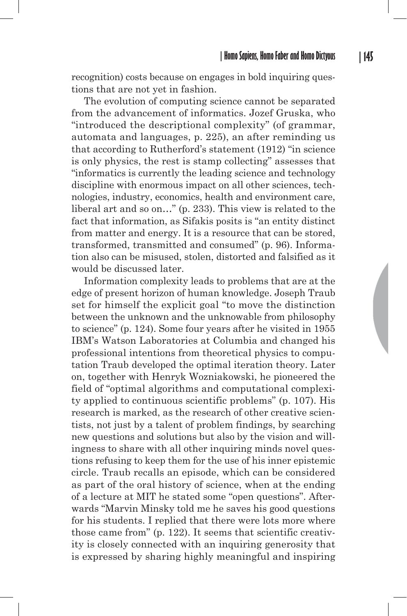recognition) costs because on engages in bold inquiring questions that are not yet in fashion.

The evolution of computing science cannot be separated from the advancement of informatics. Jozef Gruska, who "introduced the descriptional complexity" (of grammar, automata and languages, p. 225), an after reminding us that according to Rutherford's statement (1912) "in science is only physics, the rest is stamp collecting" assesses that "informatics is currently the leading science and technology discipline with enormous impact on all other sciences, technologies, industry, economics, health and environment care, liberal art and so on…" (p. 233). This view is related to the fact that information, as Sifakis posits is "an entity distinct from matter and energy. It is a resource that can be stored, transformed, transmitted and consumed" (p. 96). Information also can be misused, stolen, distorted and falsified as it would be discussed later.

Information complexity leads to problems that are at the edge of present horizon of human knowledge. Joseph Traub set for himself the explicit goal "to move the distinction between the unknown and the unknowable from philosophy to science" (p. 124). Some four years after he visited in 1955 IBM's Watson Laboratories at Columbia and changed his professional intentions from theoretical physics to computation Traub developed the optimal iteration theory. Later on, together with Henryk Wozniakowski, he pioneered the field of "optimal algorithms and computational complexity applied to continuous scientific problems" (p. 107). His research is marked, as the research of other creative scientists, not just by a talent of problem findings, by searching new questions and solutions but also by the vision and willingness to share with all other inquiring minds novel questions refusing to keep them for the use of his inner epistemic circle. Traub recalls an episode, which can be considered as part of the oral history of science, when at the ending of a lecture at MIT he stated some "open questions". Afterwards "Marvin Minsky told me he saves his good questions for his students. I replied that there were lots more where those came from" (p. 122). It seems that scientific creativity is closely connected with an inquiring generosity that is expressed by sharing highly meaningful and inspiring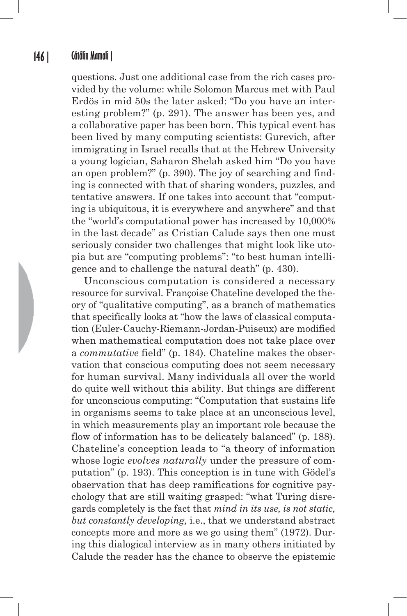questions. Just one additional case from the rich cases provided by the volume: while Solomon Marcus met with Paul Erdös in mid 50s the later asked: "Do you have an interesting problem?" (p. 291). The answer has been yes, and a collaborative paper has been born. This typical event has been lived by many computing scientists: Gurevich, after immigrating in Israel recalls that at the Hebrew University a young logician, Saharon Shelah asked him "Do you have an open problem?" (p. 390). The joy of searching and finding is connected with that of sharing wonders, puzzles, and tentative answers. If one takes into account that "computing is ubiquitous, it is everywhere and anywhere" and that the "world's computational power has increased by 10,000% in the last decade" as Cristian Calude says then one must seriously consider two challenges that might look like utopia but are "computing problems": "to best human intelligence and to challenge the natural death" (p. 430).

Unconscious computation is considered a necessary resource for survival. Françoise Chateline developed the theory of "qualitative computing", as a branch of mathematics that specifically looks at "how the laws of classical computation (Euler-Cauchy-Riemann-Jordan-Puiseux) are modified when mathematical computation does not take place over a *commutative* field" (p. 184). Chateline makes the observation that conscious computing does not seem necessary for human survival. Many individuals all over the world do quite well without this ability. But things are different for unconscious computing: "Computation that sustains life in organisms seems to take place at an unconscious level, in which measurements play an important role because the flow of information has to be delicately balanced" (p. 188). Chateline's conception leads to "a theory of information whose logic *evolves naturally* under the pressure of computation" (p. 193). This conception is in tune with Gödel's observation that has deep ramifications for cognitive psychology that are still waiting grasped: "what Turing disregards completely is the fact that *mind in its use, is not static, but constantly developing,* i.e., that we understand abstract concepts more and more as we go using them" (1972). During this dialogical interview as in many others initiated by Calude the reader has the chance to observe the epistemic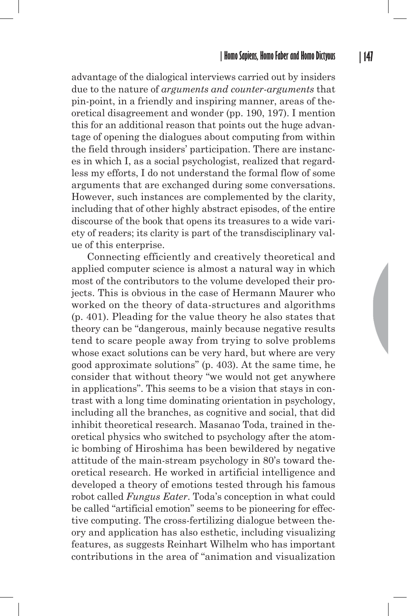advantage of the dialogical interviews carried out by insiders due to the nature of *arguments and counter-arguments* that pin-point, in a friendly and inspiring manner, areas of theoretical disagreement and wonder (pp. 190, 197). I mention this for an additional reason that points out the huge advantage of opening the dialogues about computing from within the field through insiders' participation. There are instances in which I, as a social psychologist, realized that regardless my efforts, I do not understand the formal flow of some arguments that are exchanged during some conversations. However, such instances are complemented by the clarity, including that of other highly abstract episodes, of the entire discourse of the book that opens its treasures to a wide variety of readers; its clarity is part of the transdisciplinary value of this enterprise.

 Connecting efficiently and creatively theoretical and applied computer science is almost a natural way in which most of the contributors to the volume developed their projects. This is obvious in the case of Hermann Maurer who worked on the theory of data-structures and algorithms (p. 401). Pleading for the value theory he also states that theory can be "dangerous, mainly because negative results tend to scare people away from trying to solve problems whose exact solutions can be very hard, but where are very good approximate solutions" (p. 403). At the same time, he consider that without theory "we would not get anywhere in applications". This seems to be a vision that stays in contrast with a long time dominating orientation in psychology, including all the branches, as cognitive and social, that did inhibit theoretical research. Masanao Toda, trained in theoretical physics who switched to psychology after the atomic bombing of Hiroshima has been bewildered by negative attitude of the main-stream psychology in 80's toward theoretical research. He worked in artificial intelligence and developed a theory of emotions tested through his famous robot called *Fungus Eater*. Toda's conception in what could be called "artificial emotion" seems to be pioneering for effective computing. The cross-fertilizing dialogue between theory and application has also esthetic, including visualizing features, as suggests Reinhart Wilhelm who has important contributions in the area of "animation and visualization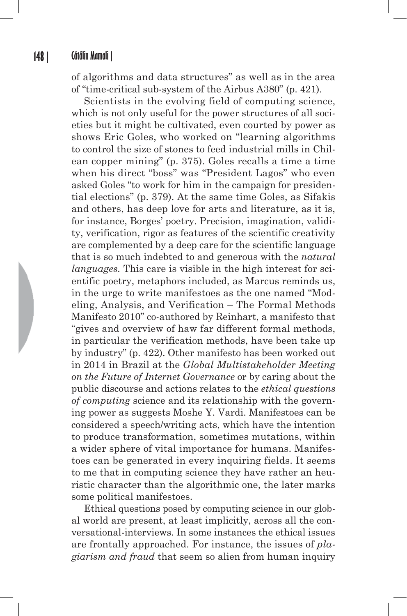of algorithms and data structures" as well as in the area of "time-critical sub-system of the Airbus A380" (p. 421).

Scientists in the evolving field of computing science, which is not only useful for the power structures of all societies but it might be cultivated, even courted by power as shows Eric Goles, who worked on "learning algorithms to control the size of stones to feed industrial mills in Chilean copper mining" (p. 375). Goles recalls a time a time when his direct "boss" was "President Lagos" who even asked Goles "to work for him in the campaign for presidential elections" (p. 379). At the same time Goles, as Sifakis and others, has deep love for arts and literature, as it is, for instance, Borges' poetry. Precision, imagination, validity, verification, rigor as features of the scientific creativity are complemented by a deep care for the scientific language that is so much indebted to and generous with the *natural languages.* This care is visible in the high interest for scientific poetry, metaphors included, as Marcus reminds us, in the urge to write manifestoes as the one named "Modeling, Analysis, and Verification – The Formal Methods Manifesto 2010" co-authored by Reinhart, a manifesto that "gives and overview of haw far different formal methods, in particular the verification methods, have been take up by industry" (p. 422). Other manifesto has been worked out in 2014 in Brazil at the *Global Multistakeholder Meeting on the Future of Internet Governance* or by caring about the public discourse and actions relates to the *ethical questions of computing* science and its relationship with the governing power as suggests Moshe Y. Vardi. Manifestoes can be considered a speech/writing acts, which have the intention to produce transformation, sometimes mutations, within a wider sphere of vital importance for humans. Manifestoes can be generated in every inquiring fields. It seems to me that in computing science they have rather an heuristic character than the algorithmic one, the later marks some political manifestoes.

Ethical questions posed by computing science in our global world are present, at least implicitly, across all the conversational-interviews. In some instances the ethical issues are frontally approached. For instance, the issues of *plagiarism and fraud* that seem so alien from human inquiry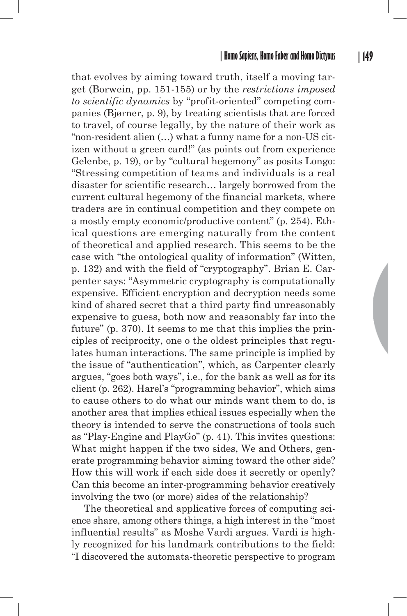that evolves by aiming toward truth, itself a moving target (Borwein, pp. 151-155) or by the *restrictions imposed to scientific dynamics* by "profit-oriented" competing companies (Bjørner, p. 9), by treating scientists that are forced to travel, of course legally, by the nature of their work as "non-resident alien (…) what a funny name for a non-US citizen without a green card!" (as points out from experience Gelenbe, p. 19), or by "cultural hegemony" as posits Longo: "Stressing competition of teams and individuals is a real disaster for scientific research… largely borrowed from the current cultural hegemony of the financial markets, where traders are in continual competition and they compete on a mostly empty economic/productive content" (p. 254). Ethical questions are emerging naturally from the content of theoretical and applied research. This seems to be the case with "the ontological quality of information" (Witten, p. 132) and with the field of "cryptography". Brian E. Carpenter says: "Asymmetric cryptography is computationally expensive. Efficient encryption and decryption needs some kind of shared secret that a third party find unreasonably expensive to guess, both now and reasonably far into the future" (p. 370). It seems to me that this implies the principles of reciprocity, one o the oldest principles that regulates human interactions. The same principle is implied by the issue of "authentication", which, as Carpenter clearly argues, "goes both ways", i.e., for the bank as well as for its client (p. 262). Harel's "programming behavior", which aims to cause others to do what our minds want them to do, is another area that implies ethical issues especially when the theory is intended to serve the constructions of tools such as "Play-Engine and PlayGo" (p. 41). This invites questions: What might happen if the two sides, We and Others, generate programming behavior aiming toward the other side? How this will work if each side does it secretly or openly? Can this become an inter-programming behavior creatively involving the two (or more) sides of the relationship?

The theoretical and applicative forces of computing science share, among others things, a high interest in the "most influential results" as Moshe Vardi argues. Vardi is highly recognized for his landmark contributions to the field: "I discovered the automata-theoretic perspective to program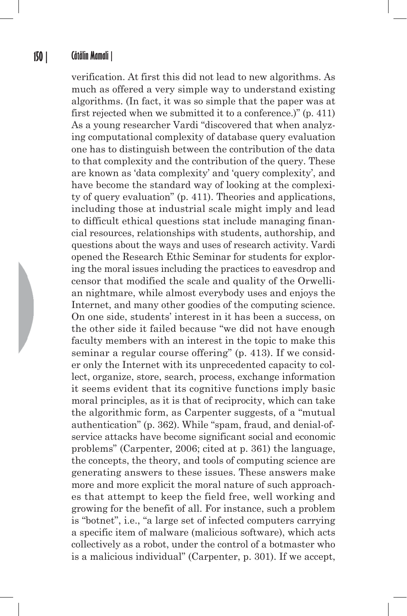verification. At first this did not lead to new algorithms. As much as offered a very simple way to understand existing algorithms. (In fact, it was so simple that the paper was at first rejected when we submitted it to a conference.)" (p. 411) As a young researcher Vardi "discovered that when analyzing computational complexity of database query evaluation one has to distinguish between the contribution of the data to that complexity and the contribution of the query. These are known as 'data complexity' and 'query complexity', and have become the standard way of looking at the complexity of query evaluation" (p. 411). Theories and applications, including those at industrial scale might imply and lead to difficult ethical questions stat include managing financial resources, relationships with students, authorship, and questions about the ways and uses of research activity. Vardi opened the Research Ethic Seminar for students for exploring the moral issues including the practices to eavesdrop and censor that modified the scale and quality of the Orwellian nightmare, while almost everybody uses and enjoys the Internet, and many other goodies of the computing science. On one side, students' interest in it has been a success, on the other side it failed because "we did not have enough faculty members with an interest in the topic to make this seminar a regular course offering" (p. 413). If we consider only the Internet with its unprecedented capacity to collect, organize, store, search, process, exchange information it seems evident that its cognitive functions imply basic moral principles, as it is that of reciprocity, which can take the algorithmic form, as Carpenter suggests, of a "mutual authentication" (p. 362). While "spam, fraud, and denial-ofservice attacks have become significant social and economic problems" (Carpenter, 2006; cited at p. 361) the language, the concepts, the theory, and tools of computing science are generating answers to these issues. These answers make more and more explicit the moral nature of such approaches that attempt to keep the field free, well working and growing for the benefit of all. For instance, such a problem is "botnet", i.e., "a large set of infected computers carrying a specific item of malware (malicious software), which acts collectively as a robot, under the control of a botmaster who is a malicious individual" (Carpenter, p. 301). If we accept,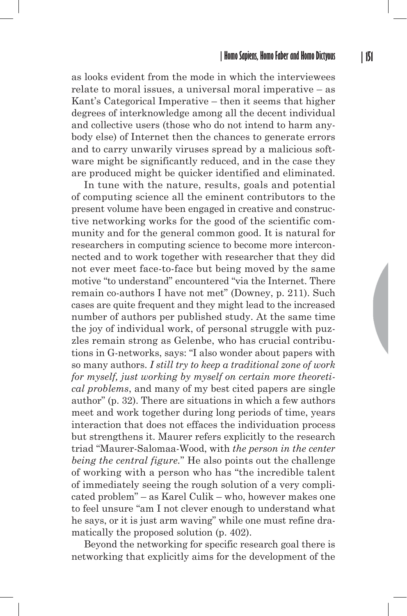as looks evident from the mode in which the interviewees relate to moral issues, a universal moral imperative – as Kant's Categorical Imperative – then it seems that higher degrees of interknowledge among all the decent individual and collective users (those who do not intend to harm anybody else) of Internet then the chances to generate errors and to carry unwarily viruses spread by a malicious software might be significantly reduced, and in the case they are produced might be quicker identified and eliminated.

In tune with the nature, results, goals and potential of computing science all the eminent contributors to the present volume have been engaged in creative and constructive networking works for the good of the scientific community and for the general common good. It is natural for researchers in computing science to become more interconnected and to work together with researcher that they did not ever meet face-to-face but being moved by the same motive "to understand" encountered "via the Internet. There remain co-authors I have not met" (Downey, p. 211). Such cases are quite frequent and they might lead to the increased number of authors per published study. At the same time the joy of individual work, of personal struggle with puzzles remain strong as Gelenbe, who has crucial contributions in G-networks, says: "I also wonder about papers with so many authors. *I still try to keep a traditional zone of work for myself, just working by myself on certain more theoretical problems*, and many of my best cited papers are single author" (p. 32). There are situations in which a few authors meet and work together during long periods of time, years interaction that does not effaces the individuation process but strengthens it. Maurer refers explicitly to the research triad "Maurer-Salomaa-Wood, with *the person in the center being the central figure.*" He also points out the challenge of working with a person who has "the incredible talent of immediately seeing the rough solution of a very complicated problem" – as Karel Culik – who, however makes one to feel unsure "am I not clever enough to understand what he says, or it is just arm waving" while one must refine dramatically the proposed solution (p. 402).

Beyond the networking for specific research goal there is networking that explicitly aims for the development of the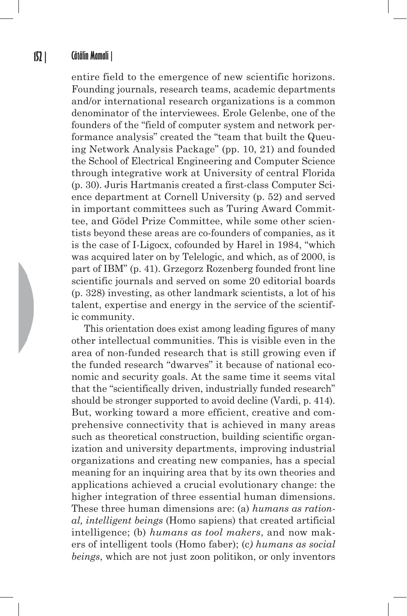entire field to the emergence of new scientific horizons. Founding journals, research teams, academic departments and/or international research organizations is a common denominator of the interviewees. Erole Gelenbe, one of the founders of the "field of computer system and network performance analysis" created the "team that built the Queuing Network Analysis Package" (pp. 10, 21) and founded the School of Electrical Engineering and Computer Science through integrative work at University of central Florida (p. 30). Juris Hartmanis created a first-class Computer Science department at Cornell University (p. 52) and served in important committees such as Turing Award Committee, and Gödel Prize Committee, while some other scientists beyond these areas are co-founders of companies, as it is the case of I-Ligocx, cofounded by Harel in 1984, "which was acquired later on by Telelogic, and which, as of 2000, is part of IBM" (p. 41). Grzegorz Rozenberg founded front line scientific journals and served on some 20 editorial boards (p. 328) investing, as other landmark scientists, a lot of his talent, expertise and energy in the service of the scientific community.

This orientation does exist among leading figures of many other intellectual communities. This is visible even in the area of non-funded research that is still growing even if the funded research "dwarves" it because of national economic and security goals. At the same time it seems vital that the "scientifically driven, industrially funded research" should be stronger supported to avoid decline (Vardi, p. 414). But, working toward a more efficient, creative and comprehensive connectivity that is achieved in many areas such as theoretical construction, building scientific organization and university departments, improving industrial organizations and creating new companies, has a special meaning for an inquiring area that by its own theories and applications achieved a crucial evolutionary change: the higher integration of three essential human dimensions. These three human dimensions are: (a) *humans as rational, intelligent beings* (Homo sapiens) that created artificial intelligence; (b) *humans as tool makers*, and now makers of intelligent tools (Homo faber); (c*) humans as social beings*, which are not just zoon politikon, or only inventors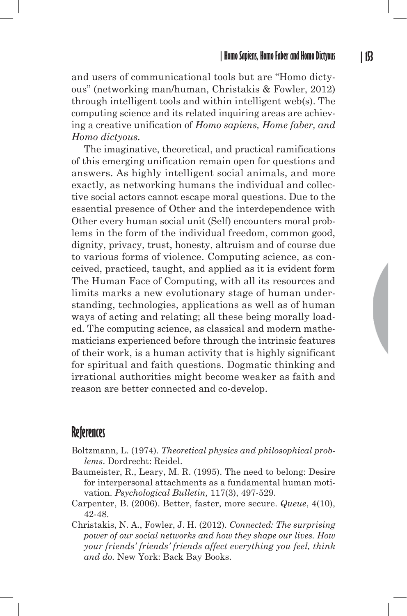and users of communicational tools but are "Homo dictyous" (networking man/human, Christakis & Fowler, 2012) through intelligent tools and within intelligent web(s). The computing science and its related inquiring areas are achieving a creative unification of *Homo sapiens, Home faber, and Homo dictyous.*

The imaginative, theoretical, and practical ramifications of this emerging unification remain open for questions and answers. As highly intelligent social animals, and more exactly, as networking humans the individual and collective social actors cannot escape moral questions. Due to the essential presence of Other and the interdependence with Other every human social unit (Self) encounters moral problems in the form of the individual freedom, common good, dignity, privacy, trust, honesty, altruism and of course due to various forms of violence. Computing science, as conceived, practiced, taught, and applied as it is evident form The Human Face of Computing, with all its resources and limits marks a new evolutionary stage of human understanding, technologies, applications as well as of human ways of acting and relating; all these being morally loaded. The computing science, as classical and modern mathematicians experienced before through the intrinsic features of their work, is a human activity that is highly significant for spiritual and faith questions. Dogmatic thinking and irrational authorities might become weaker as faith and reason are better connected and co-develop.

## **References**

- Boltzmann, L. (1974). *Theoretical physics and philosophical problems*. Dordrecht: Reidel.
- Baumeister, R., Leary, M. R. (1995). The need to belong: Desire for interpersonal attachments as a fundamental human motivation. *Psychological Bulletin,* 117(3), 497-529.
- Carpenter, B. (2006). Better, faster, more secure. *Queue*, 4(10), 42-48.
- Christakis, N. A., Fowler, J. H. (2012). *Connected: The surprising power of our social networks and how they shape our lives. How your friends' friends' friends affect everything you feel, think and do.* New York: Back Bay Books.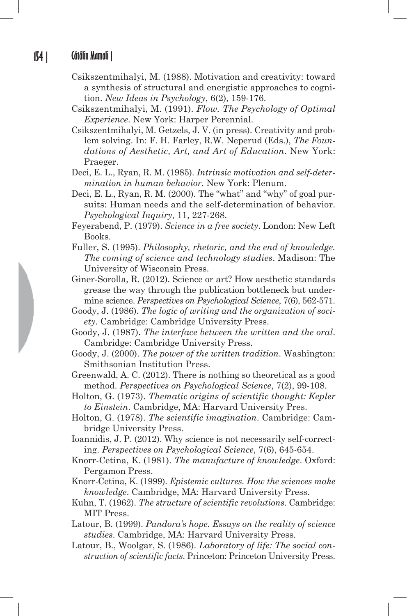- Csikszentmihalyi, M. (1988). Motivation and creativity: toward a synthesis of structural and energistic approaches to cognition. *New Ideas in Psychology*, 6(2), 159-176.
- Csikszentmihalyi, M. (1991). *Flow. The Psychology of Optimal Experience*. New York: Harper Perennial.
- Csikszentmihalyi, M. Getzels, J. V. (in press). Creativity and problem solving. In: F. H. Farley, R.W. Neperud (Eds.), *The Foundations of Aesthetic, Art, and Art of Education*. New York: Praeger.
- Deci, E. L., Ryan, R. M. (1985). *Intrinsic motivation and self-determination in human behavior*. New York: Plenum.
- Deci, E. L., Ryan, R. M. (2000). The "what" and "why" of goal pursuits: Human needs and the self-determination of behavior. *Psychological Inquiry,* 11, 227-268.
- Feyerabend, P. (1979). *Science in a free society*. London: New Left Books.
- Fuller, S. (1995). *Philosophy, rhetoric, and the end of knowledge. The coming of science and technology studies*. Madison: The University of Wisconsin Press.
- Giner-Sorolla, R. (2012). Science or art? How aesthetic standards grease the way through the publication bottleneck but undermine science. *Perspectives on Psychological Science*, 7(6), 562-571.
- Goody, J. (1986). *The logic of writing and the organization of society.* Cambridge: Cambridge University Press.
- Goody, J. (1987). *The interface between the written and the oral*. Cambridge: Cambridge University Press.
- Goody, J. (2000). *The power of the written tradition*. Washington: Smithsonian Institution Press.
- Greenwald, A. C. (2012). There is nothing so theoretical as a good method. *Perspectives on Psychological Science*, 7(2), 99-108.
- Holton, G. (1973). *Thematic origins of scientific thought: Kepler to Einstein*. Cambridge, MA: Harvard University Pres.
- Holton, G. (1978). *The scientific imagination*. Cambridge: Cambridge University Press.
- Ioannidis, J. P. (2012). Why science is not necessarily self-correcting. *Perspectives on Psychological Science*, 7(6), 645-654.
- Knorr-Cetina, K. (1981). *The manufacture of knowledge*. Oxford: Pergamon Press.
- Knorr-Cetina, K. (1999). *Epistemic cultures. How the sciences make knowledge*. Cambridge, MA: Harvard University Press.
- Kuhn, T. (1962). *The structure of scientific revolutions*. Cambridge: MIT Press.
- Latour, B. (1999). *Pandora's hope. Essays on the reality of science studies*. Cambridge, MA: Harvard University Press.
- Latour, B., Woolgar, S. (1986). *Laboratory of life: The social construction of scientific facts*. Princeton: Princeton University Press.